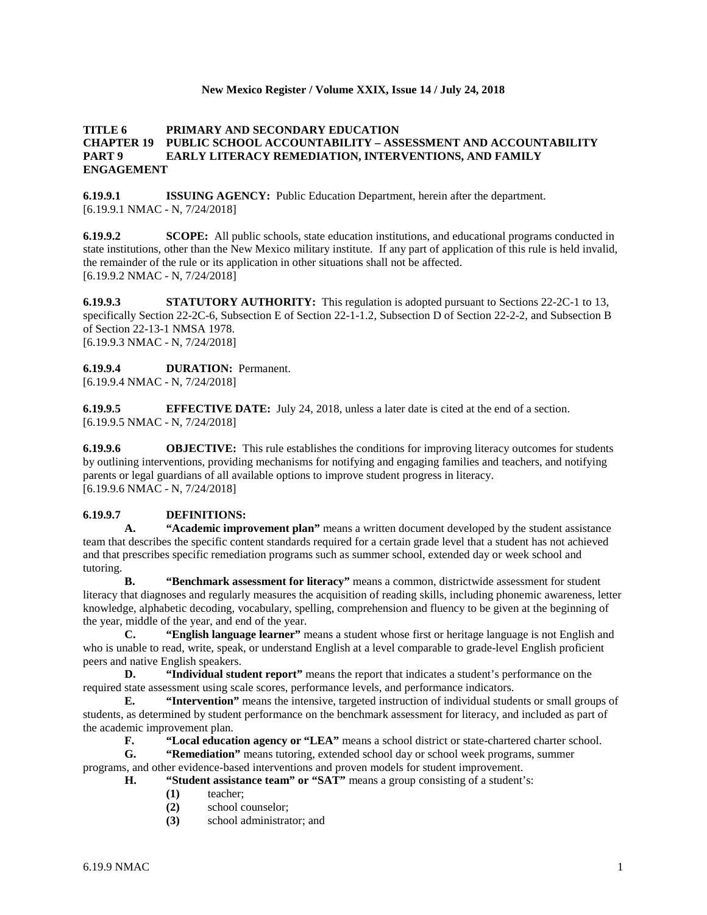#### **New Mexico Register / Volume XXIX, Issue 14 / July 24, 2018**

### **TITLE 6 PRIMARY AND SECONDARY EDUCATION CHAPTER 19 PUBLIC SCHOOL ACCOUNTABILITY – ASSESSMENT AND ACCOUNTABILITY PART 9 EARLY LITERACY REMEDIATION, INTERVENTIONS, AND FAMILY ENGAGEMENT**

**6.19.9.1 ISSUING AGENCY:** Public Education Department, herein after the department. [6.19.9.1 NMAC - N, 7/24/2018]

**6.19.9.2 SCOPE:** All public schools, state education institutions, and educational programs conducted in state institutions, other than the New Mexico military institute. If any part of application of this rule is held invalid, the remainder of the rule or its application in other situations shall not be affected. [6.19.9.2 NMAC - N, 7/24/2018]

**6.19.9.3 STATUTORY AUTHORITY:** This regulation is adopted pursuant to Sections 22-2C-1 to 13, specifically Section 22-2C-6, Subsection E of Section 22-1-1.2, Subsection D of Section 22-2-2, and Subsection B of Section 22-13-1 NMSA 1978. [6.19.9.3 NMAC - N, 7/24/2018]

**6.19.9.4 DURATION:** Permanent. [6.19.9.4 NMAC - N, 7/24/2018]

**6.19.9.5 EFFECTIVE DATE:** July 24, 2018, unless a later date is cited at the end of a section. [6.19.9.5 NMAC - N, 7/24/2018]

**6.19.9.6 OBJECTIVE:** This rule establishes the conditions for improving literacy outcomes for students by outlining interventions, providing mechanisms for notifying and engaging families and teachers, and notifying parents or legal guardians of all available options to improve student progress in literacy. [6.19.9.6 NMAC - N, 7/24/2018]

# **6.19.9.7 DEFINITIONS:**

**A. "Academic improvement plan"** means a written document developed by the student assistance team that describes the specific content standards required for a certain grade level that a student has not achieved and that prescribes specific remediation programs such as summer school, extended day or week school and tutoring.

**B. "Benchmark assessment for literacy"** means a common, districtwide assessment for student literacy that diagnoses and regularly measures the acquisition of reading skills, including phonemic awareness, letter knowledge, alphabetic decoding, vocabulary, spelling, comprehension and fluency to be given at the beginning of the year, middle of the year, and end of the year.

**C. "English language learner"** means a student whose first or heritage language is not English and who is unable to read, write, speak, or understand English at a level comparable to grade-level English proficient peers and native English speakers.

**D. "Individual student report"** means the report that indicates a student's performance on the required state assessment using scale scores, performance levels, and performance indicators.

**E. "Intervention"** means the intensive, targeted instruction of individual students or small groups of students, as determined by student performance on the benchmark assessment for literacy, and included as part of the academic improvement plan.

**F. "Local education agency or "LEA"** means a school district or state-chartered charter school.

**G. "Remediation"** means tutoring, extended school day or school week programs, summer

programs, and other evidence-based interventions and proven models for student improvement.

**H. "Student assistance team" or "SAT"** means a group consisting of a student's:<br>(1) teacher;

- **(1)** teacher;
- **(2)** school counselor;
- **(3)** school administrator; and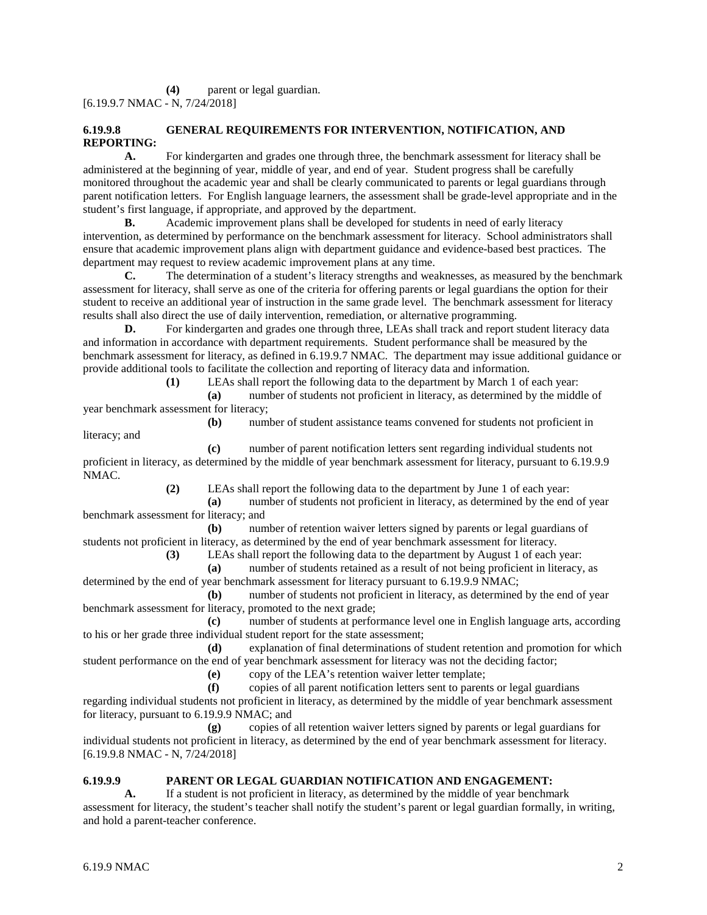**(4)** parent or legal guardian. [6.19.9.7 NMAC - N, 7/24/2018]

## **6.19.9.8 GENERAL REQUIREMENTS FOR INTERVENTION, NOTIFICATION, AND REPORTING:**

**A.** For kindergarten and grades one through three, the benchmark assessment for literacy shall be administered at the beginning of year, middle of year, and end of year. Student progress shall be carefully monitored throughout the academic year and shall be clearly communicated to parents or legal guardians through parent notification letters. For English language learners, the assessment shall be grade-level appropriate and in the student's first language, if appropriate, and approved by the department.

**B.** Academic improvement plans shall be developed for students in need of early literacy intervention, as determined by performance on the benchmark assessment for literacy. School administrators shall ensure that academic improvement plans align with department guidance and evidence-based best practices. The department may request to review academic improvement plans at any time.

**C.** The determination of a student's literacy strengths and weaknesses, as measured by the benchmark assessment for literacy, shall serve as one of the criteria for offering parents or legal guardians the option for their student to receive an additional year of instruction in the same grade level. The benchmark assessment for literacy results shall also direct the use of daily intervention, remediation, or alternative programming.

**D.** For kindergarten and grades one through three, LEAs shall track and report student literacy data and information in accordance with department requirements. Student performance shall be measured by the benchmark assessment for literacy, as defined in 6.19.9.7 NMAC. The department may issue additional guidance or provide additional tools to facilitate the collection and reporting of literacy data and information.

**(1)** LEAs shall report the following data to the department by March 1 of each year:

**(a)** number of students not proficient in literacy, as determined by the middle of year benchmark assessment for literacy;

literacy; and

**(b)** number of student assistance teams convened for students not proficient in

**(c)** number of parent notification letters sent regarding individual students not proficient in literacy, as determined by the middle of year benchmark assessment for literacy, pursuant to 6.19.9.9 NMAC.

**(2)** LEAs shall report the following data to the department by June 1 of each year:

**(a)** number of students not proficient in literacy, as determined by the end of year benchmark assessment for literacy; and

**(b)** number of retention waiver letters signed by parents or legal guardians of students not proficient in literacy, as determined by the end of year benchmark assessment for literacy.

**(3)** LEAs shall report the following data to the department by August 1 of each year:

**(a)** number of students retained as a result of not being proficient in literacy, as determined by the end of year benchmark assessment for literacy pursuant to 6.19.9.9 NMAC;

**(b)** number of students not proficient in literacy, as determined by the end of year benchmark assessment for literacy, promoted to the next grade;

**(c)** number of students at performance level one in English language arts, according to his or her grade three individual student report for the state assessment;

**(d)** explanation of final determinations of student retention and promotion for which student performance on the end of year benchmark assessment for literacy was not the deciding factor;

**(e)** copy of the LEA's retention waiver letter template;

**(f)** copies of all parent notification letters sent to parents or legal guardians regarding individual students not proficient in literacy, as determined by the middle of year benchmark assessment for literacy, pursuant to 6.19.9.9 NMAC; and

**(g)** copies of all retention waiver letters signed by parents or legal guardians for individual students not proficient in literacy, as determined by the end of year benchmark assessment for literacy. [6.19.9.8 NMAC - N, 7/24/2018]

## **6.19.9.9 PARENT OR LEGAL GUARDIAN NOTIFICATION AND ENGAGEMENT:**

**A.** If a student is not proficient in literacy, as determined by the middle of year benchmark assessment for literacy, the student's teacher shall notify the student's parent or legal guardian formally, in writing, and hold a parent-teacher conference.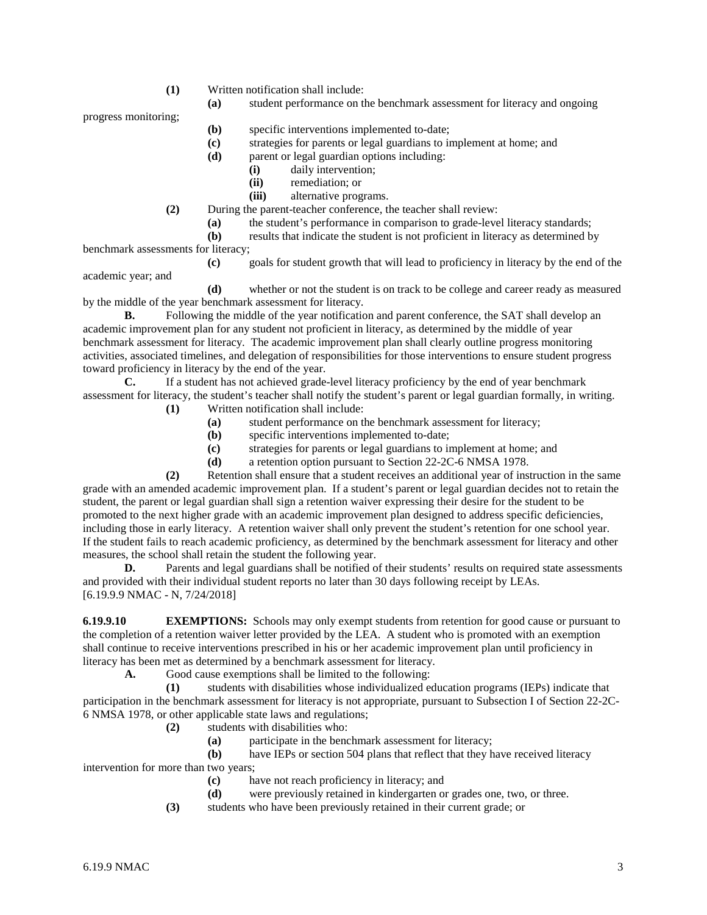- **(1)** Written notification shall include:
	- **(a)** student performance on the benchmark assessment for literacy and ongoing

progress monitoring;

academic year; and

- **(b)** specific interventions implemented to-date;
- **(c)** strategies for parents or legal guardians to implement at home; and
- **(d)** parent or legal guardian options including:
	- **(i)** daily intervention;
	- **(ii)** remediation; or
	- **(iii)** alternative programs.
- **(2)** During the parent-teacher conference, the teacher shall review:
	- **(a)** the student's performance in comparison to grade-level literacy standards;
	- **(b)** results that indicate the student is not proficient in literacy as determined by

benchmark assessments for literacy;

**(c)** goals for student growth that will lead to proficiency in literacy by the end of the

**(d)** whether or not the student is on track to be college and career ready as measured by the middle of the year benchmark assessment for literacy.

**B.** Following the middle of the year notification and parent conference, the SAT shall develop an academic improvement plan for any student not proficient in literacy, as determined by the middle of year benchmark assessment for literacy. The academic improvement plan shall clearly outline progress monitoring activities, associated timelines, and delegation of responsibilities for those interventions to ensure student progress toward proficiency in literacy by the end of the year.

**C.** If a student has not achieved grade-level literacy proficiency by the end of year benchmark assessment for literacy, the student's teacher shall notify the student's parent or legal guardian formally, in writing.

- **(1)** Written notification shall include:
	- **(a)** student performance on the benchmark assessment for literacy;
	- **(b)** specific interventions implemented to-date;
	- **(c)** strategies for parents or legal guardians to implement at home; and
	- **(d)** a retention option pursuant to Section 22-2C-6 NMSA 1978.

**(2)** Retention shall ensure that a student receives an additional year of instruction in the same grade with an amended academic improvement plan. If a student's parent or legal guardian decides not to retain the student, the parent or legal guardian shall sign a retention waiver expressing their desire for the student to be promoted to the next higher grade with an academic improvement plan designed to address specific deficiencies, including those in early literacy. A retention waiver shall only prevent the student's retention for one school year. If the student fails to reach academic proficiency, as determined by the benchmark assessment for literacy and other measures, the school shall retain the student the following year.

**D.** Parents and legal guardians shall be notified of their students' results on required state assessments and provided with their individual student reports no later than 30 days following receipt by LEAs. [6.19.9.9 NMAC - N, 7/24/2018]

**6.19.9.10 EXEMPTIONS:** Schools may only exempt students from retention for good cause or pursuant to the completion of a retention waiver letter provided by the LEA. A student who is promoted with an exemption shall continue to receive interventions prescribed in his or her academic improvement plan until proficiency in literacy has been met as determined by a benchmark assessment for literacy.

**A.** Good cause exemptions shall be limited to the following:

**(1)** students with disabilities whose individualized education programs (IEPs) indicate that participation in the benchmark assessment for literacy is not appropriate, pursuant to Subsection I of Section 22-2C-6 NMSA 1978, or other applicable state laws and regulations;

**(2)** students with disabilities who:

**(a)** participate in the benchmark assessment for literacy;

**(b)** have IEPs or section 504 plans that reflect that they have received literacy intervention for more than two years;

- **(c)** have not reach proficiency in literacy; and
- **(d)** were previously retained in kindergarten or grades one, two, or three.
- **(3)** students who have been previously retained in their current grade; or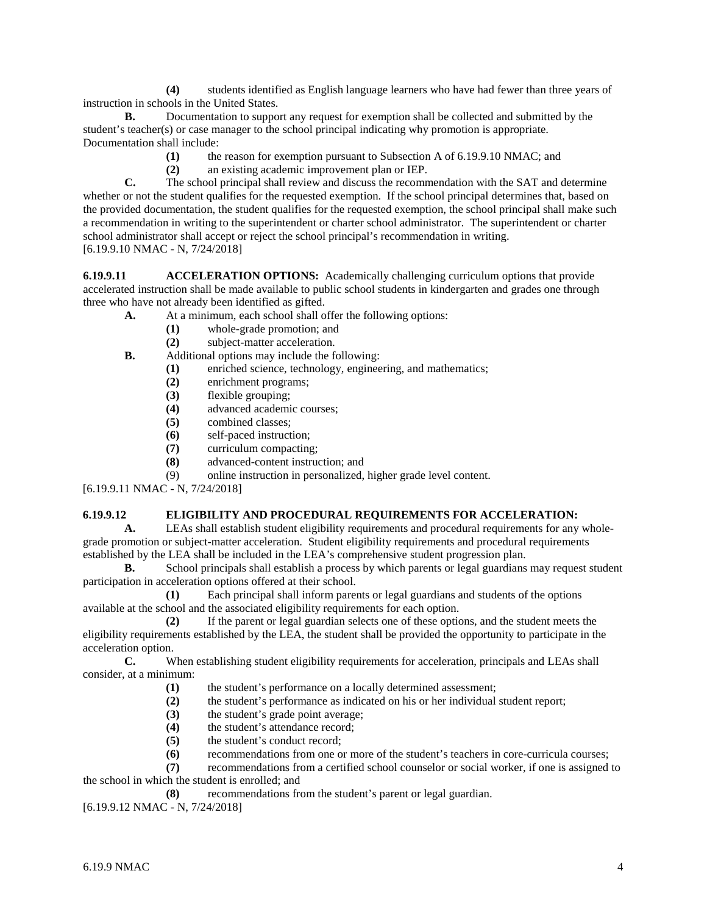**(4)** students identified as English language learners who have had fewer than three years of instruction in schools in the United States.

**B.** Documentation to support any request for exemption shall be collected and submitted by the student's teacher(s) or case manager to the school principal indicating why promotion is appropriate. Documentation shall include:

- **(1)** the reason for exemption pursuant to Subsection A of 6.19.9.10 NMAC; and
- **(2)** an existing academic improvement plan or IEP.

**C.** The school principal shall review and discuss the recommendation with the SAT and determine whether or not the student qualifies for the requested exemption. If the school principal determines that, based on the provided documentation, the student qualifies for the requested exemption, the school principal shall make such a recommendation in writing to the superintendent or charter school administrator. The superintendent or charter school administrator shall accept or reject the school principal's recommendation in writing. [6.19.9.10 NMAC - N, 7/24/2018]

**6.19.9.11 ACCELERATION OPTIONS:** Academically challenging curriculum options that provide accelerated instruction shall be made available to public school students in kindergarten and grades one through three who have not already been identified as gifted.

- **A.** At a minimum, each school shall offer the following options:
	- **(1)** whole-grade promotion; and
	- **(2)** subject-matter acceleration.
- **B.** Additional options may include the following:
	- **(1)** enriched science, technology, engineering, and mathematics;
	- **(2)** enrichment programs;
	- **(3)** flexible grouping;
	- **(4)** advanced academic courses;
	- **(5)** combined classes;
	- **(6)** self-paced instruction;
	- **(7)** curriculum compacting;
	- **(8)** advanced-content instruction; and
	- (9) online instruction in personalized, higher grade level content.

[6.19.9.11 NMAC - N, 7/24/2018]

### **6.19.9.12 ELIGIBILITY AND PROCEDURAL REQUIREMENTS FOR ACCELERATION:**

**A.** LEAs shall establish student eligibility requirements and procedural requirements for any wholegrade promotion or subject-matter acceleration. Student eligibility requirements and procedural requirements established by the LEA shall be included in the LEA's comprehensive student progression plan.

**B.** School principals shall establish a process by which parents or legal guardians may request student participation in acceleration options offered at their school.

**(1)** Each principal shall inform parents or legal guardians and students of the options available at the school and the associated eligibility requirements for each option.

**(2)** If the parent or legal guardian selects one of these options, and the student meets the eligibility requirements established by the LEA, the student shall be provided the opportunity to participate in the acceleration option.

**C.** When establishing student eligibility requirements for acceleration, principals and LEAs shall consider, at a minimum:

- **(1)** the student's performance on a locally determined assessment;
- **(2)** the student's performance as indicated on his or her individual student report;
- **(3)** the student's grade point average;
- **(4)** the student's attendance record;
- **(5)** the student's conduct record;
- **(6)** recommendations from one or more of the student's teachers in core-curricula courses;

**(7)** recommendations from a certified school counselor or social worker, if one is assigned to the school in which the student is enrolled; and

**(8)** recommendations from the student's parent or legal guardian.

[6.19.9.12 NMAC - N, 7/24/2018]